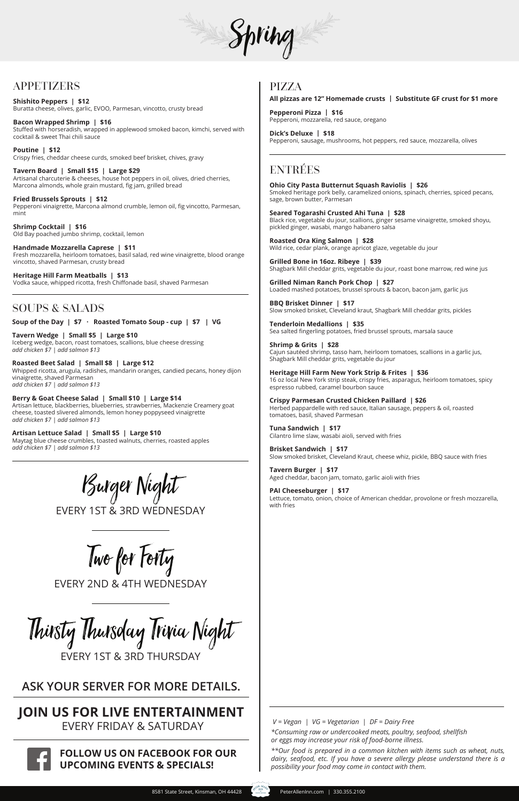

# APPETIZERS

**Shishito Peppers | \$12** Buratta cheese, olives, garlic, EVOO, Parmesan, vincotto, crusty bread

**Bacon Wrapped Shrimp | \$16** Stuffed with horseradish, wrapped in applewood smoked bacon, kimchi, served with cocktail & sweet Thai chili sauce

**Poutine | \$12** Crispy fries, cheddar cheese curds, smoked beef brisket, chives, gravy

**Tavern Board | Small \$15 | Large \$29** Artisanal charcuterie & cheeses, house hot peppers in oil, olives, dried cherries, Marcona almonds, whole grain mustard, fig jam, grilled bread

**Fried Brussels Sprouts | \$12** Pepperoni vinaigrette, Marcona almond crumble, lemon oil, fig vincotto, Parmesan, mint

**Shrimp Cocktail | \$16** Old Bay poached jumbo shrimp, cocktail, lemon

**Handmade Mozzarella Caprese | \$11** Fresh mozzarella, heirloom tomatoes, basil salad, red wine vinaigrette, blood orange vincotto, shaved Parmesan, crusty bread

**Heritage Hill Farm Meatballs | \$13** Vodka sauce, whipped ricotta, fresh Chiffonade basil, shaved Parmesan

### SOUPS & SALADS

**Soup of the Day | \$7 · Roasted Tomato Soup - cup | \$7 | VG**

**Tavern Wedge | Small \$5 | Large \$10** Iceberg wedge, bacon, roast tomatoes, scallions, blue cheese dressing *add chicken \$7 | add salmon \$13*

**Roasted Beet Salad | Small \$8 | Large \$12** Whipped ricotta, arugula, radishes, mandarin oranges, candied pecans, honey dijon vinaigrette, shaved Parmesan *add chicken \$7 | add salmon \$13*

**Berry & Goat Cheese Salad | Small \$10 | Large \$14** Artisan lettuce, blackberries, blueberries, strawberries, Mackenzie Creamery goat cheese, toasted slivered almonds, lemon honey poppyseed vinaigrette *add chicken \$7 | add salmon \$13*

**Artisan Lettuce Salad | Small \$5 | Large \$10** Maytag blue cheese crumbles, toasted walnuts, cherries, roasted apples *add chicken \$7 | add salmon \$13*

> *\*Consuming raw or undercooked meats, poultry, seafood, shellfish or eggs may increase your risk of food-borne illness. V = Vegan | VG = Vegetarian | DF = Dairy Free*

*\*\*Our food is prepared in a common kitchen with items such as wheat, nuts, dairy, seafood, etc. If you have a severe allergy please understand there is a possibility your food may come in contact with them.* 

# ENTRÉES

**Ohio City Pasta Butternut Squash Raviolis | \$26** Smoked heritage pork belly, caramelized onions, spinach, cherries, spiced pecans, sage, brown butter, Parmesan

**Seared Togarashi Crusted Ahi Tuna | \$28** Black rice, vegetable du jour, scallions, ginger sesame vinaigrette, smoked shoyu, pickled ginger, wasabi, mango habanero salsa

**Roasted Ora King Salmon | \$28** Wild rice, cedar plank, orange apricot glaze, vegetable du jour

**Grilled Bone in 16oz. Ribeye | \$39** Shagbark Mill cheddar grits, vegetable du jour, roast bone marrow, red wine jus

**Grilled Niman Ranch Pork Chop | \$27** Loaded mashed potatoes, brussel sprouts & bacon, bacon jam, garlic jus

**BBQ Brisket Dinner | \$17** Slow smoked brisket, Cleveland kraut, Shagbark Mill cheddar grits, pickles

**Tenderloin Medallions | \$35** Sea salted fingerling potatoes, fried brussel sprouts, marsala sauce

**Shrimp & Grits | \$28** Cajun sautéed shrimp, tasso ham, heirloom tomatoes, scallions in a garlic jus, Shagbark Mill cheddar grits, vegetable du jour

**Heritage Hill Farm New York Strip & Frites | \$36** 16 oz local New York strip steak, crispy fries, asparagus, heirloom tomatoes, spicy espresso rubbed, caramel bourbon sauce

**Crispy Parmesan Crusted Chicken Paillard | \$26**  Herbed pappardelle with red sauce, Italian sausage, peppers & oil, roasted tomatoes, basil, shaved Parmesan

**Tuna Sandwich | \$17** Cilantro lime slaw, wasabi aioli, served with fries

**Brisket Sandwich | \$17** Slow smoked brisket, Cleveland Kraut, cheese whiz, pickle, BBQ sauce with fries

**Tavern Burger | \$17** Aged cheddar, bacon jam, tomato, garlic aioli with fries

**PAI Cheeseburger | \$17** Lettuce, tomato, onion, choice of American cheddar, provolone or fresh mozzarella, with fries



# **JOIN US FOR LIVE ENTERTAINMENT** EVERY FRIDAY & SATURDAY



## **FOLLOW US ON FACEBOOK FOR OUR UPCOMING EVENTS & SPECIALS!**

# **ASK YOUR SERVER FOR MORE DETAILS.**

Burger Night

EVERY 1ST & 3RD WEDNESDAY

Two for Forty

EVERY 2ND & 4TH WEDNESDAY

Thirsty Thursday Trivia Night EVERY 1ST & 3RD THURSDAY

### PIZZA

**All pizzas are 12" Homemade crusts | Substitute GF crust for \$1 more**

**Pepperoni Pizza | \$16** Pepperoni, mozzarella, red sauce, oregano

**Dick's Deluxe | \$18** Pepperoni, sausage, mushrooms, hot peppers, red sauce, mozzarella, olives